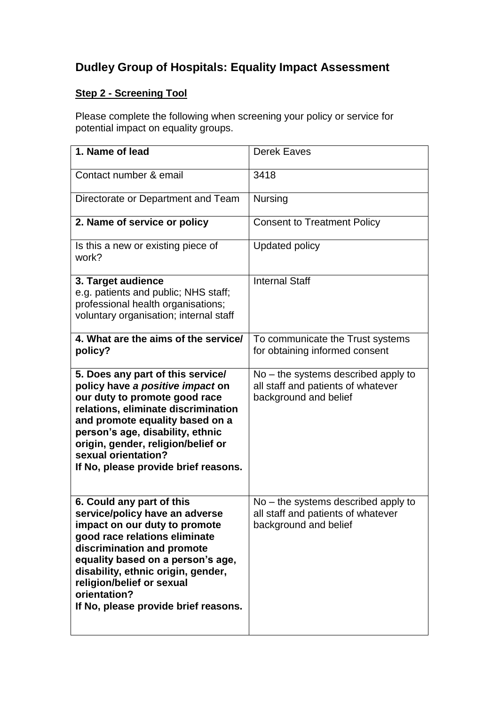## **Dudley Group of Hospitals: Equality Impact Assessment**

## **Step 2 - Screening Tool**

Please complete the following when screening your policy or service for potential impact on equality groups.

| 1. Name of lead                                                                                                                                                                                                                                                                                                             | <b>Derek Eaves</b>                                                                                   |
|-----------------------------------------------------------------------------------------------------------------------------------------------------------------------------------------------------------------------------------------------------------------------------------------------------------------------------|------------------------------------------------------------------------------------------------------|
| Contact number & email                                                                                                                                                                                                                                                                                                      | 3418                                                                                                 |
| Directorate or Department and Team                                                                                                                                                                                                                                                                                          | <b>Nursing</b>                                                                                       |
| 2. Name of service or policy                                                                                                                                                                                                                                                                                                | <b>Consent to Treatment Policy</b>                                                                   |
| Is this a new or existing piece of<br>work?                                                                                                                                                                                                                                                                                 | <b>Updated policy</b>                                                                                |
| 3. Target audience<br>e.g. patients and public; NHS staff;<br>professional health organisations;<br>voluntary organisation; internal staff                                                                                                                                                                                  | <b>Internal Staff</b>                                                                                |
| 4. What are the aims of the service/<br>policy?                                                                                                                                                                                                                                                                             | To communicate the Trust systems<br>for obtaining informed consent                                   |
| 5. Does any part of this service/<br>policy have a positive impact on<br>our duty to promote good race<br>relations, eliminate discrimination<br>and promote equality based on a<br>person's age, disability, ethnic<br>origin, gender, religion/belief or<br>sexual orientation?<br>If No, please provide brief reasons.   | No – the systems described apply to<br>all staff and patients of whatever<br>background and belief   |
| 6. Could any part of this<br>service/policy have an adverse<br>impact on our duty to promote<br>good race relations eliminate<br>discrimination and promote<br>equality based on a person's age,<br>disability, ethnic origin, gender,<br>religion/belief or sexual<br>orientation?<br>If No, please provide brief reasons. | $No$ – the systems described apply to<br>all staff and patients of whatever<br>background and belief |